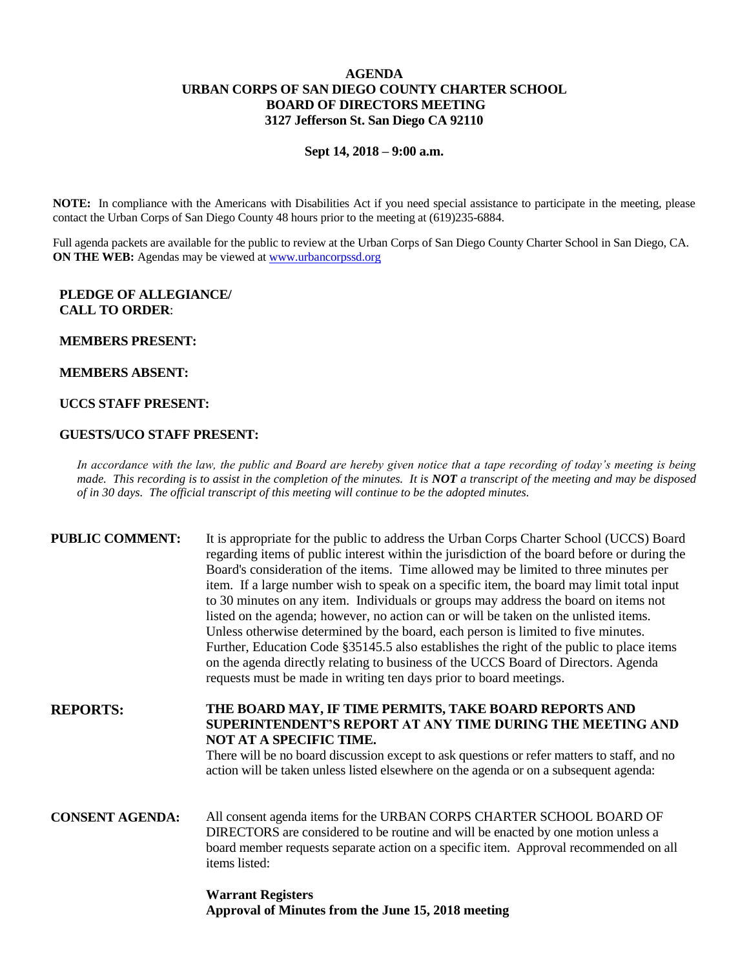## **AGENDA URBAN CORPS OF SAN DIEGO COUNTY CHARTER SCHOOL BOARD OF DIRECTORS MEETING 3127 Jefferson St. San Diego CA 92110**

**Sept 14, 2018 – 9:00 a.m.**

**NOTE:** In compliance with the Americans with Disabilities Act if you need special assistance to participate in the meeting, please contact the Urban Corps of San Diego County 48 hours prior to the meeting at (619)235-6884.

Full agenda packets are available for the public to review at the Urban Corps of San Diego County Charter School in San Diego, CA. **ON THE WEB:** Agendas may be viewed at [www.urbancorpssd.org](http://www.urbancorpssd.org/)

## **PLEDGE OF ALLEGIANCE/ CALL TO ORDER**:

#### **MEMBERS PRESENT:**

#### **MEMBERS ABSENT:**

## **UCCS STAFF PRESENT:**

#### **GUESTS/UCO STAFF PRESENT:**

*In accordance with the law, the public and Board are hereby given notice that a tape recording of today's meeting is being made. This recording is to assist in the completion of the minutes. It is NOT a transcript of the meeting and may be disposed of in 30 days. The official transcript of this meeting will continue to be the adopted minutes.*

| <b>PUBLIC COMMENT:</b> | It is appropriate for the public to address the Urban Corps Charter School (UCCS) Board<br>regarding items of public interest within the jurisdiction of the board before or during the<br>Board's consideration of the items. Time allowed may be limited to three minutes per<br>item. If a large number wish to speak on a specific item, the board may limit total input<br>to 30 minutes on any item. Individuals or groups may address the board on items not<br>listed on the agenda; however, no action can or will be taken on the unlisted items.<br>Unless otherwise determined by the board, each person is limited to five minutes.<br>Further, Education Code §35145.5 also establishes the right of the public to place items<br>on the agenda directly relating to business of the UCCS Board of Directors. Agenda<br>requests must be made in writing ten days prior to board meetings. |
|------------------------|----------------------------------------------------------------------------------------------------------------------------------------------------------------------------------------------------------------------------------------------------------------------------------------------------------------------------------------------------------------------------------------------------------------------------------------------------------------------------------------------------------------------------------------------------------------------------------------------------------------------------------------------------------------------------------------------------------------------------------------------------------------------------------------------------------------------------------------------------------------------------------------------------------|
| <b>REPORTS:</b>        | THE BOARD MAY, IF TIME PERMITS, TAKE BOARD REPORTS AND<br>SUPERINTENDENT'S REPORT AT ANY TIME DURING THE MEETING AND<br>NOT AT A SPECIFIC TIME.<br>There will be no board discussion except to ask questions or refer matters to staff, and no<br>action will be taken unless listed elsewhere on the agenda or on a subsequent agenda:                                                                                                                                                                                                                                                                                                                                                                                                                                                                                                                                                                  |
| <b>CONSENT AGENDA:</b> | All consent agenda items for the URBAN CORPS CHARTER SCHOOL BOARD OF<br>DIRECTORS are considered to be routine and will be enacted by one motion unless a<br>board member requests separate action on a specific item. Approval recommended on all<br>items listed:                                                                                                                                                                                                                                                                                                                                                                                                                                                                                                                                                                                                                                      |

**Warrant Registers Approval of Minutes from the June 15, 2018 meeting**